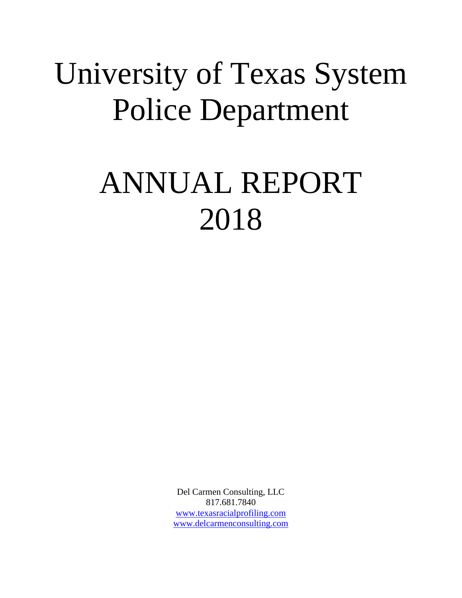# University of Texas System Police Department

# ANNUAL REPORT 2018

Del Carmen Consulting, LLC 817.681.7840 [www.texasracialprofiling.com](http://www.texasracialprofiling.com/) [www.delcarmenconsulting.com](http://www.delcarmenconsulting.com/)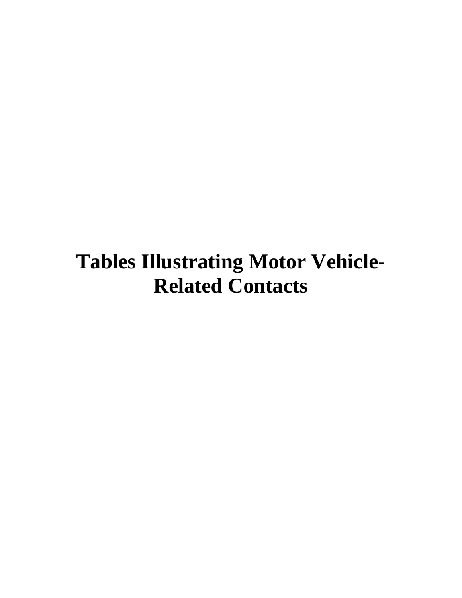# **Tables Illustrating Motor Vehicle-Related Contacts**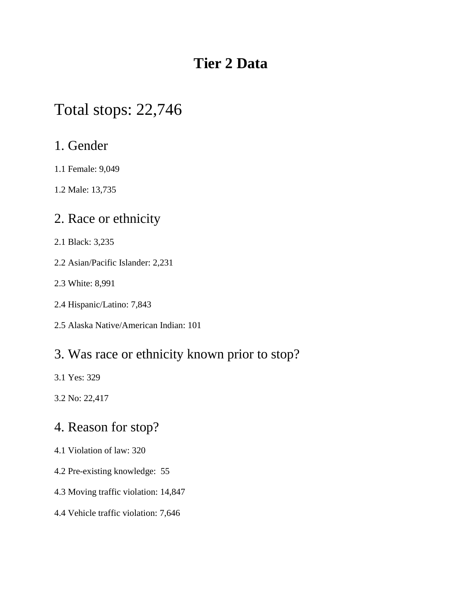# **Tier 2 Data**

# Total stops: 22,746

#### 1. Gender

1.1 Female: 9,049

1.2 Male: 13,735

## 2. Race or ethnicity

- 2.1 Black: 3,235
- 2.2 Asian/Pacific Islander: 2,231
- 2.3 White: 8,991
- 2.4 Hispanic/Latino: 7,843
- 2.5 Alaska Native/American Indian: 101

### 3. Was race or ethnicity known prior to stop?

3.1 Yes: 329

3.2 No: 22,417

## 4. Reason for stop?

- 4.1 Violation of law: 320
- 4.2 Pre-existing knowledge: 55
- 4.3 Moving traffic violation: 14,847
- 4.4 Vehicle traffic violation: 7,646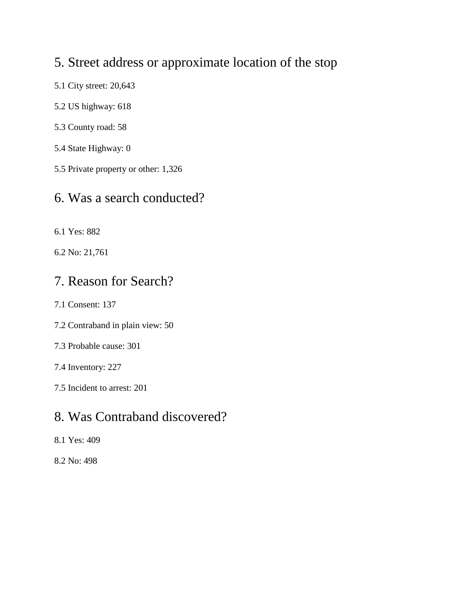## 5. Street address or approximate location of the stop

- 5.1 City street: 20,643
- 5.2 US highway: 618
- 5.3 County road: 58
- 5.4 State Highway: 0
- 5.5 Private property or other: 1,326

#### 6. Was a search conducted?

- 6.1 Yes: 882
- 6.2 No: 21,761

#### 7. Reason for Search?

- 7.1 Consent: 137
- 7.2 Contraband in plain view: 50
- 7.3 Probable cause: 301

#### 7.4 Inventory: 227

7.5 Incident to arrest: 201

### 8. Was Contraband discovered?

- 8.1 Yes: 409
- 8.2 No: 498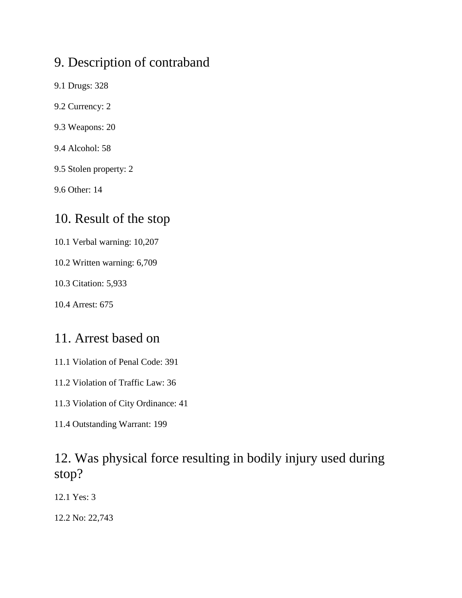## 9. Description of contraband

- 9.1 Drugs: 328
- 9.2 Currency: 2
- 9.3 Weapons: 20
- 9.4 Alcohol: 58
- 9.5 Stolen property: 2
- 9.6 Other: 14

### 10. Result of the stop

- 10.1 Verbal warning: 10,207
- 10.2 Written warning: 6,709
- 10.3 Citation: 5,933
- 10.4 Arrest: 675

### 11. Arrest based on

- 11.1 Violation of Penal Code: 391
- 11.2 Violation of Traffic Law: 36
- 11.3 Violation of City Ordinance: 41
- 11.4 Outstanding Warrant: 199

## 12. Was physical force resulting in bodily injury used during stop?

12.1 Yes: 3

12.2 No: 22,743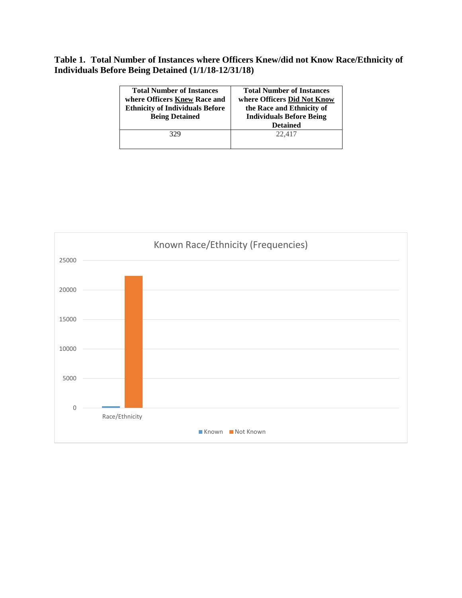#### **Table 1. Total Number of Instances where Officers Knew/did not Know Race/Ethnicity of Individuals Before Being Detained (1/1/18-12/31/18)**

| <b>Total Number of Instances</b><br>where Officers Knew Race and<br><b>Ethnicity of Individuals Before</b><br><b>Being Detained</b> | <b>Total Number of Instances</b><br>where Officers Did Not Know<br>the Race and Ethnicity of<br><b>Individuals Before Being</b><br><b>Detained</b> |
|-------------------------------------------------------------------------------------------------------------------------------------|----------------------------------------------------------------------------------------------------------------------------------------------------|
| 329                                                                                                                                 | 22,417                                                                                                                                             |

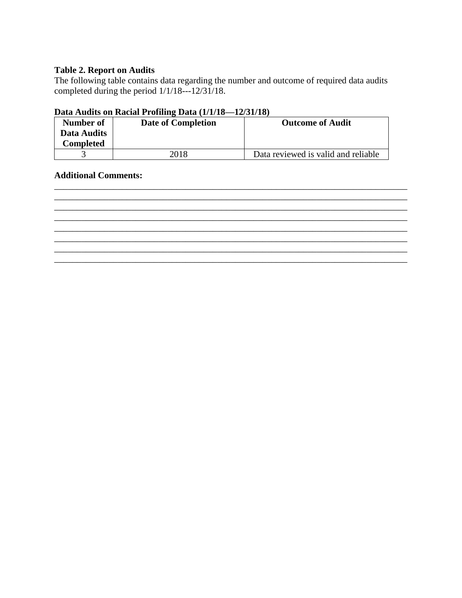#### **Table 2. Report on Audits**

The following table contains data regarding the number and outcome of required data audits completed during the period 1/1/18---12/31/18.

#### **Data Audits on Racial Profiling Data (1/1/18—12/31/18)**

| Number of   | Date of Completion | <b>Outcome of Audit</b>             |
|-------------|--------------------|-------------------------------------|
| Data Audits |                    |                                     |
| Completed   |                    |                                     |
|             | 2018               | Data reviewed is valid and reliable |

\_\_\_\_\_\_\_\_\_\_\_\_\_\_\_\_\_\_\_\_\_\_\_\_\_\_\_\_\_\_\_\_\_\_\_\_\_\_\_\_\_\_\_\_\_\_\_\_\_\_\_\_\_\_\_\_\_\_\_\_\_\_\_\_\_\_\_\_\_\_\_\_\_\_\_\_\_\_ \_\_\_\_\_\_\_\_\_\_\_\_\_\_\_\_\_\_\_\_\_\_\_\_\_\_\_\_\_\_\_\_\_\_\_\_\_\_\_\_\_\_\_\_\_\_\_\_\_\_\_\_\_\_\_\_\_\_\_\_\_\_\_\_\_\_\_\_\_\_\_\_\_\_\_\_\_\_

\_\_\_\_\_\_\_\_\_\_\_\_\_\_\_\_\_\_\_\_\_\_\_\_\_\_\_\_\_\_\_\_\_\_\_\_\_\_\_\_\_\_\_\_\_\_\_\_\_\_\_\_\_\_\_\_\_\_\_\_\_\_\_\_\_\_\_\_\_\_\_\_\_\_\_\_\_\_ \_\_\_\_\_\_\_\_\_\_\_\_\_\_\_\_\_\_\_\_\_\_\_\_\_\_\_\_\_\_\_\_\_\_\_\_\_\_\_\_\_\_\_\_\_\_\_\_\_\_\_\_\_\_\_\_\_\_\_\_\_\_\_\_\_\_\_\_\_\_\_\_\_\_\_\_\_\_ \_\_\_\_\_\_\_\_\_\_\_\_\_\_\_\_\_\_\_\_\_\_\_\_\_\_\_\_\_\_\_\_\_\_\_\_\_\_\_\_\_\_\_\_\_\_\_\_\_\_\_\_\_\_\_\_\_\_\_\_\_\_\_\_\_\_\_\_\_\_\_\_\_\_\_\_\_\_ \_\_\_\_\_\_\_\_\_\_\_\_\_\_\_\_\_\_\_\_\_\_\_\_\_\_\_\_\_\_\_\_\_\_\_\_\_\_\_\_\_\_\_\_\_\_\_\_\_\_\_\_\_\_\_\_\_\_\_\_\_\_\_\_\_\_\_\_\_\_\_\_\_\_\_\_\_\_

**Additional Comments:**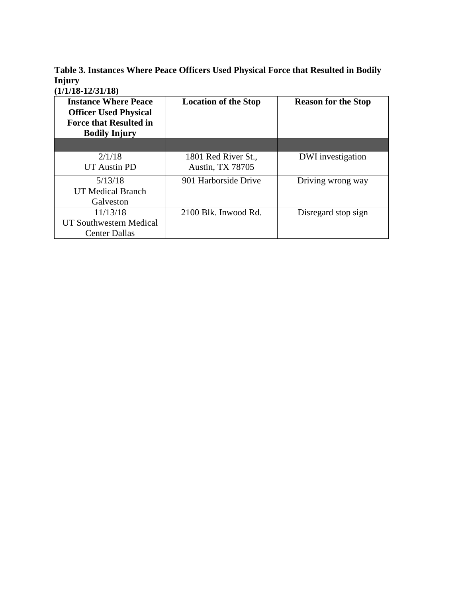**Table 3. Instances Where Peace Officers Used Physical Force that Resulted in Bodily Injury** 

**(1/1/18-12/31/18)**

| <b>Instance Where Peace</b><br><b>Officer Used Physical</b><br><b>Force that Resulted in</b><br><b>Bodily Injury</b> | <b>Location of the Stop</b> | <b>Reason for the Stop</b> |
|----------------------------------------------------------------------------------------------------------------------|-----------------------------|----------------------------|
|                                                                                                                      |                             |                            |
| 2/1/18                                                                                                               | 1801 Red River St.,         | DWI investigation          |
| UT Austin PD                                                                                                         | <b>Austin, TX 78705</b>     |                            |
| 5/13/18                                                                                                              | 901 Harborside Drive        | Driving wrong way          |
| <b>UT Medical Branch</b>                                                                                             |                             |                            |
| Galveston                                                                                                            |                             |                            |
| 11/13/18                                                                                                             | 2100 Blk. Inwood Rd.        | Disregard stop sign        |
| UT Southwestern Medical                                                                                              |                             |                            |
| <b>Center Dallas</b>                                                                                                 |                             |                            |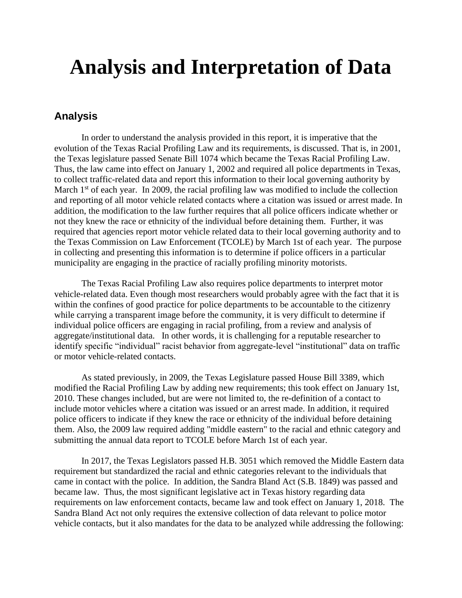# **Analysis and Interpretation of Data**

#### **Analysis**

In order to understand the analysis provided in this report, it is imperative that the evolution of the Texas Racial Profiling Law and its requirements, is discussed. That is, in 2001, the Texas legislature passed Senate Bill 1074 which became the Texas Racial Profiling Law. Thus, the law came into effect on January 1, 2002 and required all police departments in Texas, to collect traffic-related data and report this information to their local governing authority by March  $1<sup>st</sup>$  of each year. In 2009, the racial profiling law was modified to include the collection and reporting of all motor vehicle related contacts where a citation was issued or arrest made. In addition, the modification to the law further requires that all police officers indicate whether or not they knew the race or ethnicity of the individual before detaining them. Further, it was required that agencies report motor vehicle related data to their local governing authority and to the Texas Commission on Law Enforcement (TCOLE) by March 1st of each year. The purpose in collecting and presenting this information is to determine if police officers in a particular municipality are engaging in the practice of racially profiling minority motorists.

The Texas Racial Profiling Law also requires police departments to interpret motor vehicle-related data. Even though most researchers would probably agree with the fact that it is within the confines of good practice for police departments to be accountable to the citizenry while carrying a transparent image before the community, it is very difficult to determine if individual police officers are engaging in racial profiling, from a review and analysis of aggregate/institutional data. In other words, it is challenging for a reputable researcher to identify specific "individual" racist behavior from aggregate-level "institutional" data on traffic or motor vehicle-related contacts.

As stated previously, in 2009, the Texas Legislature passed House Bill 3389, which modified the Racial Profiling Law by adding new requirements; this took effect on January 1st, 2010. These changes included, but are were not limited to, the re-definition of a contact to include motor vehicles where a citation was issued or an arrest made. In addition, it required police officers to indicate if they knew the race or ethnicity of the individual before detaining them. Also, the 2009 law required adding "middle eastern" to the racial and ethnic category and submitting the annual data report to TCOLE before March 1st of each year.

In 2017, the Texas Legislators passed H.B. 3051 which removed the Middle Eastern data requirement but standardized the racial and ethnic categories relevant to the individuals that came in contact with the police. In addition, the Sandra Bland Act (S.B. 1849) was passed and became law. Thus, the most significant legislative act in Texas history regarding data requirements on law enforcement contacts, became law and took effect on January 1, 2018. The Sandra Bland Act not only requires the extensive collection of data relevant to police motor vehicle contacts, but it also mandates for the data to be analyzed while addressing the following: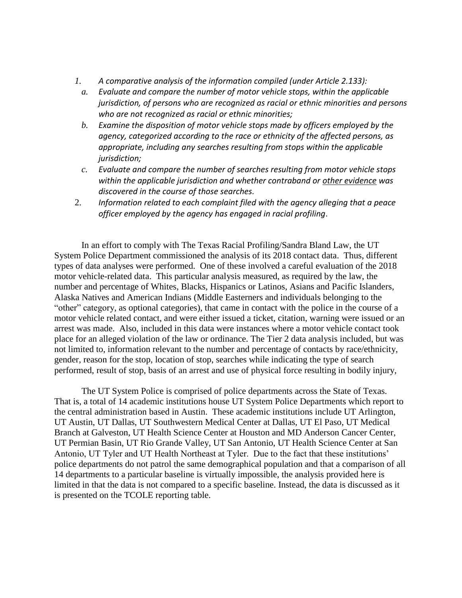- *1. A comparative analysis of the information compiled (under Article 2.133):*
	- *a. Evaluate and compare the number of motor vehicle stops, within the applicable jurisdiction, of persons who are recognized as racial or ethnic minorities and persons who are not recognized as racial or ethnic minorities;*
	- *b. Examine the disposition of motor vehicle stops made by officers employed by the agency, categorized according to the race or ethnicity of the affected persons, as appropriate, including any searches resulting from stops within the applicable jurisdiction;*
	- *c. Evaluate and compare the number of searches resulting from motor vehicle stops within the applicable jurisdiction and whether contraband or other evidence was discovered in the course of those searches.*
- 2. *Information related to each complaint filed with the agency alleging that a peace officer employed by the agency has engaged in racial profiling*.

In an effort to comply with The Texas Racial Profiling/Sandra Bland Law, the UT System Police Department commissioned the analysis of its 2018 contact data. Thus, different types of data analyses were performed. One of these involved a careful evaluation of the 2018 motor vehicle-related data. This particular analysis measured, as required by the law, the number and percentage of Whites, Blacks, Hispanics or Latinos, Asians and Pacific Islanders, Alaska Natives and American Indians (Middle Easterners and individuals belonging to the "other" category, as optional categories), that came in contact with the police in the course of a motor vehicle related contact, and were either issued a ticket, citation, warning were issued or an arrest was made. Also, included in this data were instances where a motor vehicle contact took place for an alleged violation of the law or ordinance. The Tier 2 data analysis included, but was not limited to, information relevant to the number and percentage of contacts by race/ethnicity, gender, reason for the stop, location of stop, searches while indicating the type of search performed, result of stop, basis of an arrest and use of physical force resulting in bodily injury,

The UT System Police is comprised of police departments across the State of Texas. That is, a total of 14 academic institutions house UT System Police Departments which report to the central administration based in Austin. These academic institutions include UT Arlington, UT Austin, UT Dallas, UT Southwestern Medical Center at Dallas, UT El Paso, UT Medical Branch at Galveston, UT Health Science Center at Houston and MD Anderson Cancer Center, UT Permian Basin, UT Rio Grande Valley, UT San Antonio, UT Health Science Center at San Antonio, UT Tyler and UT Health Northeast at Tyler. Due to the fact that these institutions' police departments do not patrol the same demographical population and that a comparison of all 14 departments to a particular baseline is virtually impossible, the analysis provided here is limited in that the data is not compared to a specific baseline. Instead, the data is discussed as it is presented on the TCOLE reporting table.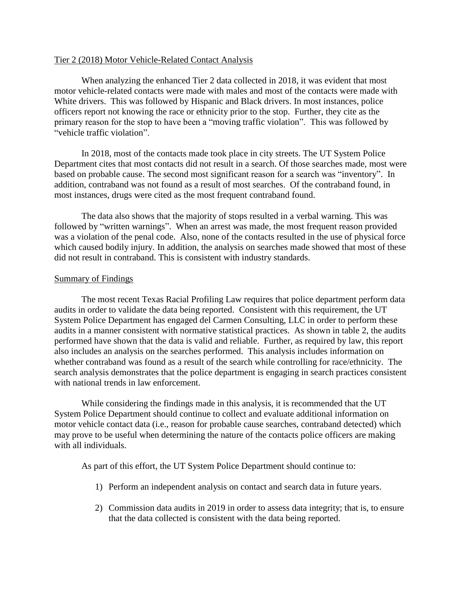#### Tier 2 (2018) Motor Vehicle-Related Contact Analysis

When analyzing the enhanced Tier 2 data collected in 2018, it was evident that most motor vehicle-related contacts were made with males and most of the contacts were made with White drivers. This was followed by Hispanic and Black drivers. In most instances, police officers report not knowing the race or ethnicity prior to the stop. Further, they cite as the primary reason for the stop to have been a "moving traffic violation". This was followed by "vehicle traffic violation".

In 2018, most of the contacts made took place in city streets. The UT System Police Department cites that most contacts did not result in a search. Of those searches made, most were based on probable cause. The second most significant reason for a search was "inventory". In addition, contraband was not found as a result of most searches. Of the contraband found, in most instances, drugs were cited as the most frequent contraband found.

The data also shows that the majority of stops resulted in a verbal warning. This was followed by "written warnings". When an arrest was made, the most frequent reason provided was a violation of the penal code. Also, none of the contacts resulted in the use of physical force which caused bodily injury. In addition, the analysis on searches made showed that most of these did not result in contraband. This is consistent with industry standards.

#### Summary of Findings

The most recent Texas Racial Profiling Law requires that police department perform data audits in order to validate the data being reported. Consistent with this requirement, the UT System Police Department has engaged del Carmen Consulting, LLC in order to perform these audits in a manner consistent with normative statistical practices. As shown in table 2, the audits performed have shown that the data is valid and reliable. Further, as required by law, this report also includes an analysis on the searches performed. This analysis includes information on whether contraband was found as a result of the search while controlling for race/ethnicity. The search analysis demonstrates that the police department is engaging in search practices consistent with national trends in law enforcement.

While considering the findings made in this analysis, it is recommended that the UT System Police Department should continue to collect and evaluate additional information on motor vehicle contact data (i.e., reason for probable cause searches, contraband detected) which may prove to be useful when determining the nature of the contacts police officers are making with all individuals.

As part of this effort, the UT System Police Department should continue to:

- 1) Perform an independent analysis on contact and search data in future years.
- 2) Commission data audits in 2019 in order to assess data integrity; that is, to ensure that the data collected is consistent with the data being reported.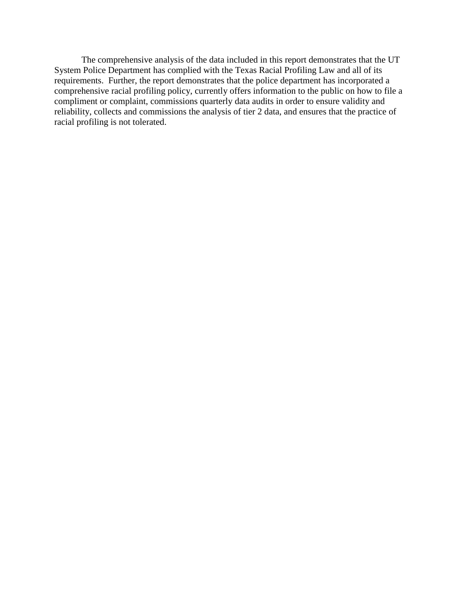The comprehensive analysis of the data included in this report demonstrates that the UT System Police Department has complied with the Texas Racial Profiling Law and all of its requirements. Further, the report demonstrates that the police department has incorporated a comprehensive racial profiling policy, currently offers information to the public on how to file a compliment or complaint, commissions quarterly data audits in order to ensure validity and reliability, collects and commissions the analysis of tier 2 data, and ensures that the practice of racial profiling is not tolerated.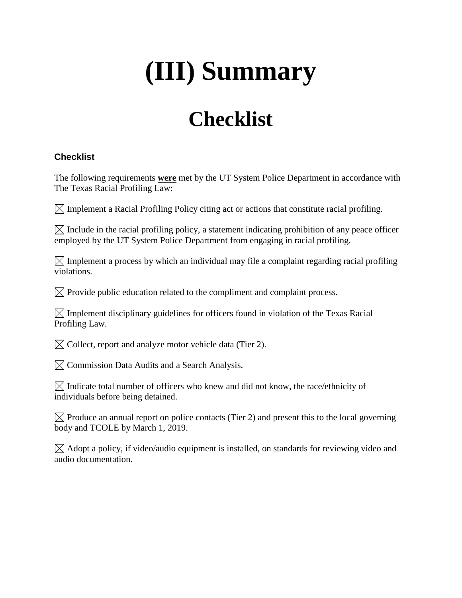# **(III) Summary**

# **Checklist**

#### **Checklist**

The following requirements **were** met by the UT System Police Department in accordance with The Texas Racial Profiling Law:

 $\boxtimes$  Implement a Racial Profiling Policy citing act or actions that constitute racial profiling.

 $\boxtimes$  Include in the racial profiling policy, a statement indicating prohibition of any peace officer employed by the UT System Police Department from engaging in racial profiling.

 $\boxtimes$  Implement a process by which an individual may file a complaint regarding racial profiling violations.

 $\boxtimes$  Provide public education related to the compliment and complaint process.

 $\boxtimes$  Implement disciplinary guidelines for officers found in violation of the Texas Racial Profiling Law.

 $\boxtimes$  Collect, report and analyze motor vehicle data (Tier 2).

 $\boxtimes$  Commission Data Audits and a Search Analysis.

 $\boxtimes$  Indicate total number of officers who knew and did not know, the race/ethnicity of individuals before being detained.

 $\boxtimes$  Produce an annual report on police contacts (Tier 2) and present this to the local governing body and TCOLE by March 1, 2019.

 $\boxtimes$  Adopt a policy, if video/audio equipment is installed, on standards for reviewing video and audio documentation.